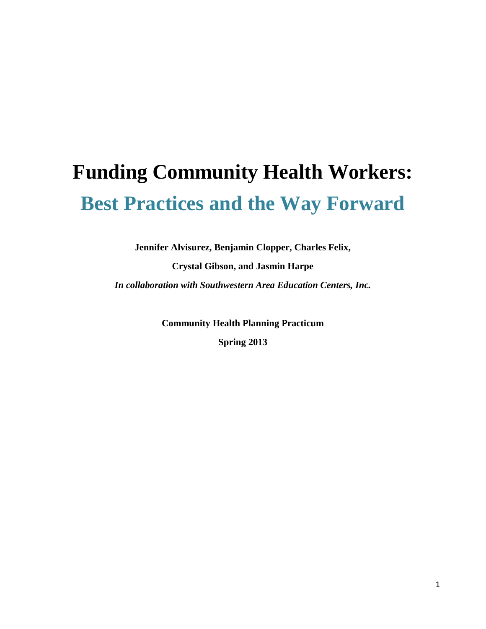# **Funding Community Health Workers: Best Practices and the Way Forward**

**Jennifer Alvisurez, Benjamin Clopper, Charles Felix, Crystal Gibson, and Jasmin Harpe** *In collaboration with Southwestern Area Education Centers, Inc.*

> **Community Health Planning Practicum Spring 2013**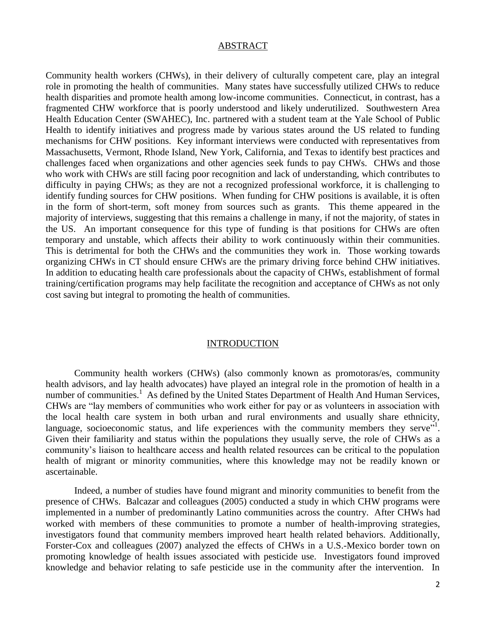#### ABSTRACT

Community health workers (CHWs), in their delivery of culturally competent care, play an integral role in promoting the health of communities. Many states have successfully utilized CHWs to reduce health disparities and promote health among low-income communities. Connecticut, in contrast, has a fragmented CHW workforce that is poorly understood and likely underutilized. Southwestern Area Health Education Center (SWAHEC), Inc. partnered with a student team at the Yale School of Public Health to identify initiatives and progress made by various states around the US related to funding mechanisms for CHW positions. Key informant interviews were conducted with representatives from Massachusetts, Vermont, Rhode Island, New York, California, and Texas to identify best practices and challenges faced when organizations and other agencies seek funds to pay CHWs. CHWs and those who work with CHWs are still facing poor recognition and lack of understanding, which contributes to difficulty in paying CHWs; as they are not a recognized professional workforce, it is challenging to identify funding sources for CHW positions. When funding for CHW positions is available, it is often in the form of short-term, soft money from sources such as grants. This theme appeared in the majority of interviews, suggesting that this remains a challenge in many, if not the majority, of states in the US. An important consequence for this type of funding is that positions for CHWs are often temporary and unstable, which affects their ability to work continuously within their communities. This is detrimental for both the CHWs and the communities they work in. Those working towards organizing CHWs in CT should ensure CHWs are the primary driving force behind CHW initiatives. In addition to educating health care professionals about the capacity of CHWs, establishment of formal training/certification programs may help facilitate the recognition and acceptance of CHWs as not only cost saving but integral to promoting the health of communities.

#### INTRODUCTION

Community health workers (CHWs) (also commonly known as promotoras/es, community health advisors, and lay health advocates) have played an integral role in the promotion of health in a numberof communities.<sup>1</sup> As defined by the United States Department of Health And Human Services, CHWs are "lay members of communities who work either for pay or as volunteers in association with the local health care system in both urban and rural environments and usually share ethnicity, language, socioeconomic status, and life experiences with the community members they serve<sup>"1</sup>. Given their familiarity and status within the populations they usually serve, the role of CHWs as a community's liaison to healthcare access and health related resources can be critical to the population health of migrant or minority communities, where this knowledge may not be readily known or ascertainable.

Indeed, a number of studies have found migrant and minority communities to benefit from the presence of CHWs. Balcazar and colleagues (2005) conducted a study in which CHW programs were implemented in a number of predominantly Latino communities across the country. After CHWs had worked with members of these communities to promote a number of health-improving strategies, investigators found that community members improved heart health related behaviors. Additionally, Forster-Cox and colleagues (2007) analyzed the effects of CHWs in a U.S.-Mexico border town on promoting knowledge of health issues associated with pesticide use. Investigators found improved knowledge and behavior relating to safe pesticide use in the community after the intervention. In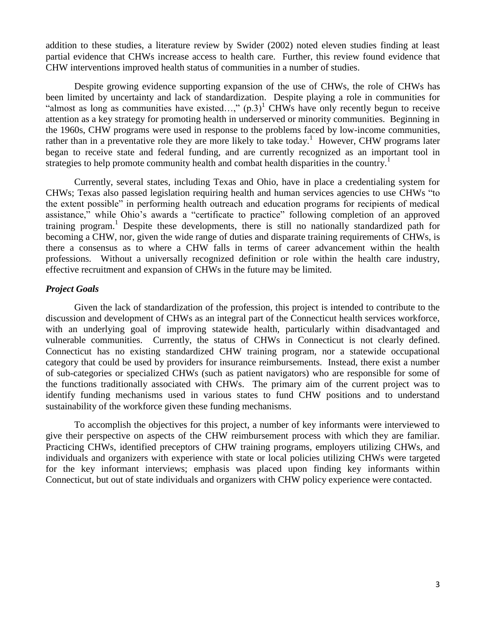addition to these studies, a literature review by Swider (2002) noted eleven studies finding at least partial evidence that CHWs increase access to health care. Further, this review found evidence that CHW interventions improved health status of communities in a number of studies.

Despite growing evidence supporting expansion of the use of CHWs, the role of CHWs has been limited by uncertainty and lack of standardization. Despite playing a role in communities for "almost as long as communities have existed...,"  $(p.3)^1$  $(p.3)^1$  CHWs have only recently begun to receive attention as a key strategy for promoting health in underserved or minority communities. Beginning in the 1960s, CHW programs were used in response to the problems faced by low-income communities, rather than in a preventative role they are more likely to take today.<sup>[1](#page-26-0)</sup> However, CHW programs later began to receive state and federal funding, and are currently recognized as an important tool in strategies to help promote community health and combat health disparities in the country.<sup>1</sup>

Currently, several states, including Texas and Ohio, have in place a credentialing system for CHWs; Texas also passed legislation requiring health and human services agencies to use CHWs "to the extent possible" in performing health outreach and education programs for recipients of medical assistance," while Ohio's awards a "certificate to practice" following completion of an approved training program.<sup>[1](#page-26-0)</sup> Despite these developments, there is still no nationally standardized path for becoming a CHW, nor, given the wide range of duties and disparate training requirements of CHWs, is there a consensus as to where a CHW falls in terms of career advancement within the health professions. Without a universally recognized definition or role within the health care industry, effective recruitment and expansion of CHWs in the future may be limited.

#### *Project Goals*

Given the lack of standardization of the profession, this project is intended to contribute to the discussion and development of CHWs as an integral part of the Connecticut health services workforce, with an underlying goal of improving statewide health, particularly within disadvantaged and vulnerable communities. Currently, the status of CHWs in Connecticut is not clearly defined. Connecticut has no existing standardized CHW training program, nor a statewide occupational category that could be used by providers for insurance reimbursements. Instead, there exist a number of sub-categories or specialized CHWs (such as patient navigators) who are responsible for some of the functions traditionally associated with CHWs. The primary aim of the current project was to identify funding mechanisms used in various states to fund CHW positions and to understand sustainability of the workforce given these funding mechanisms.

To accomplish the objectives for this project, a number of key informants were interviewed to give their perspective on aspects of the CHW reimbursement process with which they are familiar. Practicing CHWs, identified preceptors of CHW training programs, employers utilizing CHWs, and individuals and organizers with experience with state or local policies utilizing CHWs were targeted for the key informant interviews; emphasis was placed upon finding key informants within Connecticut, but out of state individuals and organizers with CHW policy experience were contacted.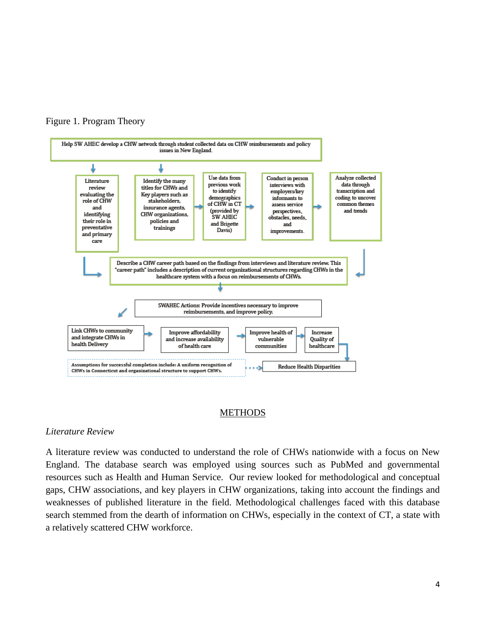



#### METHODS

#### *Literature Review*

A literature review was conducted to understand the role of CHWs nationwide with a focus on New England. The database search was employed using sources such as PubMed and governmental resources such as Health and Human Service. Our review looked for methodological and conceptual gaps, CHW associations, and key players in CHW organizations, taking into account the findings and weaknesses of published literature in the field. Methodological challenges faced with this database search stemmed from the dearth of information on CHWs, especially in the context of CT, a state with a relatively scattered CHW workforce.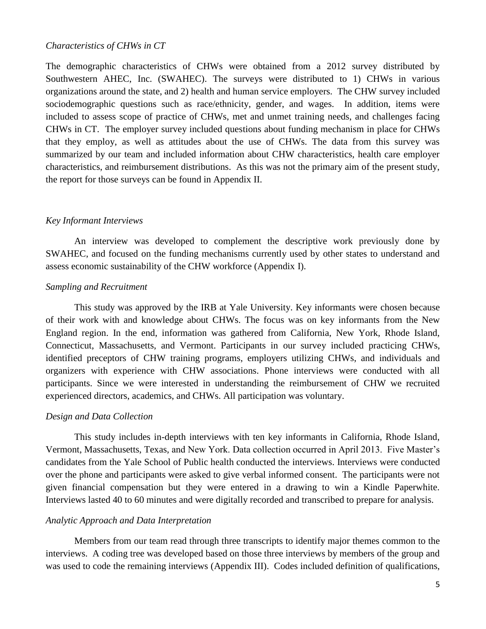#### *Characteristics of CHWs in CT*

The demographic characteristics of CHWs were obtained from a 2012 survey distributed by Southwestern AHEC, Inc. (SWAHEC). The surveys were distributed to 1) CHWs in various organizations around the state, and 2) health and human service employers. The CHW survey included sociodemographic questions such as race/ethnicity, gender, and wages. In addition, items were included to assess scope of practice of CHWs, met and unmet training needs, and challenges facing CHWs in CT. The employer survey included questions about funding mechanism in place for CHWs that they employ, as well as attitudes about the use of CHWs. The data from this survey was summarized by our team and included information about CHW characteristics, health care employer characteristics, and reimbursement distributions. As this was not the primary aim of the present study, the report for those surveys can be found in Appendix II.

#### *Key Informant Interviews*

An interview was developed to complement the descriptive work previously done by SWAHEC, and focused on the funding mechanisms currently used by other states to understand and assess economic sustainability of the CHW workforce (Appendix I).

#### *Sampling and Recruitment*

This study was approved by the IRB at Yale University. Key informants were chosen because of their work with and knowledge about CHWs. The focus was on key informants from the New England region. In the end, information was gathered from California, New York, Rhode Island, Connecticut, Massachusetts, and Vermont. Participants in our survey included practicing CHWs, identified preceptors of CHW training programs, employers utilizing CHWs, and individuals and organizers with experience with CHW associations. Phone interviews were conducted with all participants. Since we were interested in understanding the reimbursement of CHW we recruited experienced directors, academics, and CHWs. All participation was voluntary.

#### *Design and Data Collection*

This study includes in-depth interviews with ten key informants in California, Rhode Island, Vermont, Massachusetts, Texas, and New York. Data collection occurred in April 2013. Five Master's candidates from the Yale School of Public health conducted the interviews. Interviews were conducted over the phone and participants were asked to give verbal informed consent. The participants were not given financial compensation but they were entered in a drawing to win a Kindle Paperwhite. Interviews lasted 40 to 60 minutes and were digitally recorded and transcribed to prepare for analysis.

#### *Analytic Approach and Data Interpretation*

Members from our team read through three transcripts to identify major themes common to the interviews. A coding tree was developed based on those three interviews by members of the group and was used to code the remaining interviews (Appendix III). Codes included definition of qualifications,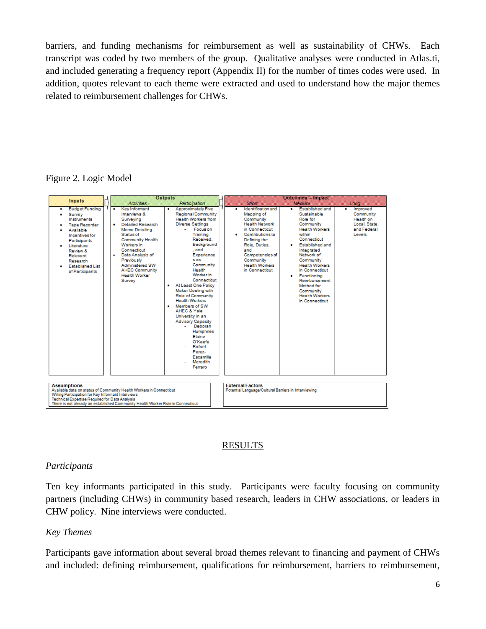barriers, and funding mechanisms for reimbursement as well as sustainability of CHWs. Each transcript was coded by two members of the group. Qualitative analyses were conducted in Atlas.ti, and included generating a frequency report (Appendix II) for the number of times codes were used. In addition, quotes relevant to each theme were extracted and used to understand how the major themes related to reimbursement challenges for CHWs.

Figure 2. Logic Model



# RESULTS

# *Participants*

Ten key informants participated in this study. Participants were faculty focusing on community partners (including CHWs) in community based research, leaders in CHW associations, or leaders in CHW policy. Nine interviews were conducted.

# *Key Themes*

Participants gave information about several broad themes relevant to financing and payment of CHWs and included: defining reimbursement, qualifications for reimbursement, barriers to reimbursement,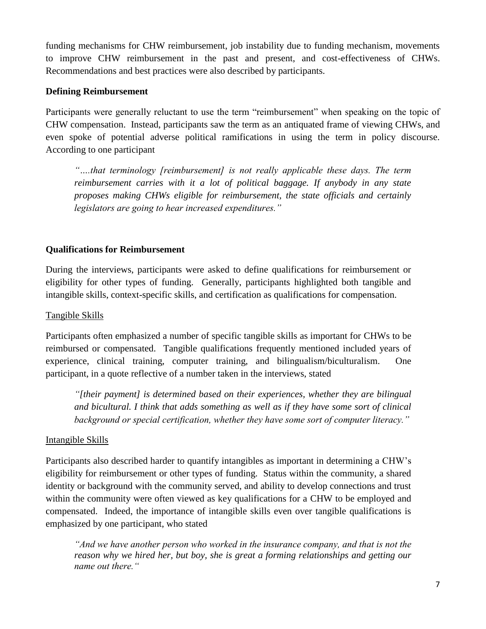funding mechanisms for CHW reimbursement, job instability due to funding mechanism, movements to improve CHW reimbursement in the past and present, and cost-effectiveness of CHWs. Recommendations and best practices were also described by participants.

# **Defining Reimbursement**

Participants were generally reluctant to use the term "reimbursement" when speaking on the topic of CHW compensation. Instead, participants saw the term as an antiquated frame of viewing CHWs, and even spoke of potential adverse political ramifications in using the term in policy discourse. According to one participant

*"….that terminology [reimbursement] is not really applicable these days. The term reimbursement carries with it a lot of political baggage. If anybody in any state proposes making CHWs eligible for reimbursement, the state officials and certainly legislators are going to hear increased expenditures."*

# **Qualifications for Reimbursement**

During the interviews, participants were asked to define qualifications for reimbursement or eligibility for other types of funding. Generally, participants highlighted both tangible and intangible skills, context-specific skills, and certification as qualifications for compensation.

# Tangible Skills

Participants often emphasized a number of specific tangible skills as important for CHWs to be reimbursed or compensated. Tangible qualifications frequently mentioned included years of experience, clinical training, computer training, and bilingualism/biculturalism. One participant, in a quote reflective of a number taken in the interviews, stated

*"[their payment] is determined based on their experiences, whether they are bilingual and bicultural. I think that adds something as well as if they have some sort of clinical background or special certification, whether they have some sort of computer literacy."*

# Intangible Skills

Participants also described harder to quantify intangibles as important in determining a CHW's eligibility for reimbursement or other types of funding. Status within the community, a shared identity or background with the community served, and ability to develop connections and trust within the community were often viewed as key qualifications for a CHW to be employed and compensated. Indeed, the importance of intangible skills even over tangible qualifications is emphasized by one participant, who stated

*"And we have another person who worked in the insurance company, and that is not the reason why we hired her, but boy, she is great a forming relationships and getting our name out there."*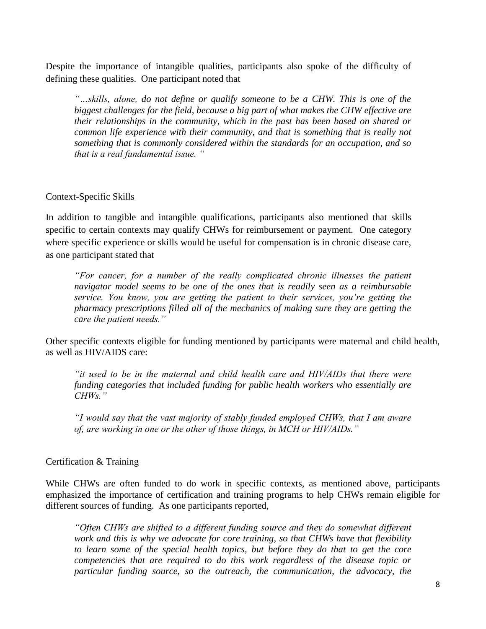Despite the importance of intangible qualities, participants also spoke of the difficulty of defining these qualities. One participant noted that

*"…skills, alone, do not define or qualify someone to be a CHW. This is one of the biggest challenges for the field, because a big part of what makes the CHW effective are their relationships in the community, which in the past has been based on shared or common life experience with their community, and that is something that is really not something that is commonly considered within the standards for an occupation, and so that is a real fundamental issue. "*

# Context-Specific Skills

In addition to tangible and intangible qualifications, participants also mentioned that skills specific to certain contexts may qualify CHWs for reimbursement or payment. One category where specific experience or skills would be useful for compensation is in chronic disease care, as one participant stated that

*"For cancer, for a number of the really complicated chronic illnesses the patient navigator model seems to be one of the ones that is readily seen as a reimbursable service. You know, you are getting the patient to their services, you're getting the pharmacy prescriptions filled all of the mechanics of making sure they are getting the care the patient needs."*

Other specific contexts eligible for funding mentioned by participants were maternal and child health, as well as HIV/AIDS care:

*"it used to be in the maternal and child health care and HIV/AIDs that there were funding categories that included funding for public health workers who essentially are CHWs."*

*"I would say that the vast majority of stably funded employed CHWs, that I am aware of, are working in one or the other of those things, in MCH or HIV/AIDs."*

#### Certification & Training

While CHWs are often funded to do work in specific contexts, as mentioned above, participants emphasized the importance of certification and training programs to help CHWs remain eligible for different sources of funding. As one participants reported,

*"Often CHWs are shifted to a different funding source and they do somewhat different work and this is why we advocate for core training, so that CHWs have that flexibility to learn some of the special health topics, but before they do that to get the core competencies that are required to do this work regardless of the disease topic or particular funding source, so the outreach, the communication, the advocacy, the*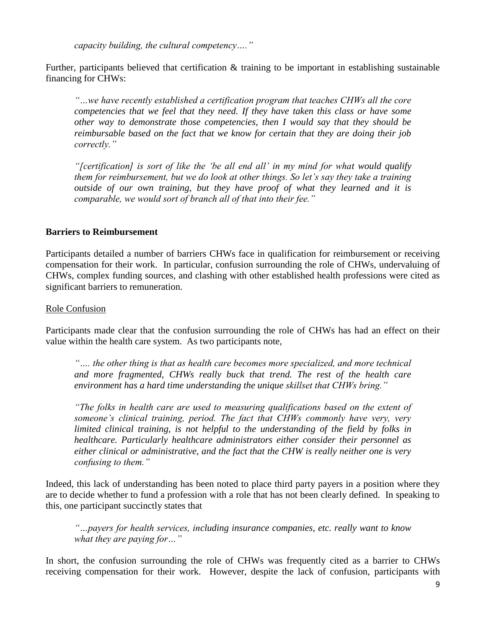*capacity building, the cultural competency…."*

Further, participants believed that certification & training to be important in establishing sustainable financing for CHWs:

*"…we have recently established a certification program that teaches CHWs all the core competencies that we feel that they need. If they have taken this class or have some other way to demonstrate those competencies, then I would say that they should be reimbursable based on the fact that we know for certain that they are doing their job correctly."*

*"[certification] is sort of like the 'be all end all' in my mind for what would qualify them for reimbursement, but we do look at other things. So let's say they take a training outside of our own training, but they have proof of what they learned and it is comparable, we would sort of branch all of that into their fee."*

#### **Barriers to Reimbursement**

Participants detailed a number of barriers CHWs face in qualification for reimbursement or receiving compensation for their work. In particular, confusion surrounding the role of CHWs, undervaluing of CHWs, complex funding sources, and clashing with other established health professions were cited as significant barriers to remuneration.

#### Role Confusion

Participants made clear that the confusion surrounding the role of CHWs has had an effect on their value within the health care system. As two participants note,

*"…. the other thing is that as health care becomes more specialized, and more technical and more fragmented, CHWs really buck that trend. The rest of the health care environment has a hard time understanding the unique skillset that CHWs bring."*

*"The folks in health care are used to measuring qualifications based on the extent of someone's clinical training, period. The fact that CHWs commonly have very, very limited clinical training, is not helpful to the understanding of the field by folks in healthcare. Particularly healthcare administrators either consider their personnel as either clinical or administrative, and the fact that the CHW is really neither one is very confusing to them."*

Indeed, this lack of understanding has been noted to place third party payers in a position where they are to decide whether to fund a profession with a role that has not been clearly defined. In speaking to this, one participant succinctly states that

*"…payers for health services, including insurance companies, etc. really want to know what they are paying for…"*

In short, the confusion surrounding the role of CHWs was frequently cited as a barrier to CHWs receiving compensation for their work. However, despite the lack of confusion, participants with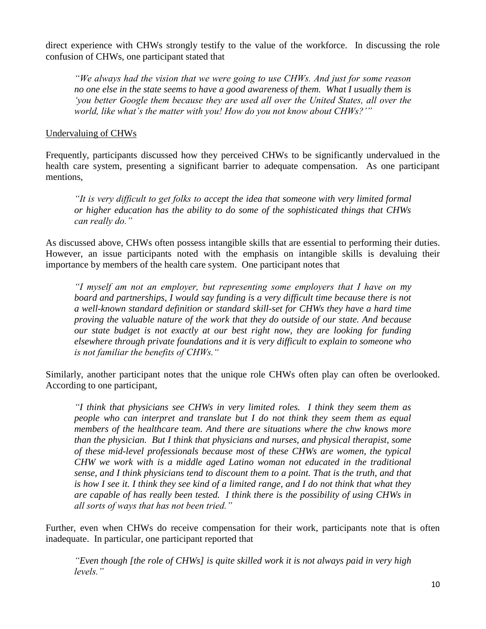direct experience with CHWs strongly testify to the value of the workforce. In discussing the role confusion of CHWs, one participant stated that

*"We always had the vision that we were going to use CHWs. And just for some reason no one else in the state seems to have a good awareness of them. What I usually them is 'you better Google them because they are used all over the United States, all over the world, like what's the matter with you! How do you not know about CHWs?'"*

## Undervaluing of CHWs

Frequently, participants discussed how they perceived CHWs to be significantly undervalued in the health care system, presenting a significant barrier to adequate compensation. As one participant mentions,

*"It is very difficult to get folks to accept the idea that someone with very limited formal or higher education has the ability to do some of the sophisticated things that CHWs can really do."*

As discussed above, CHWs often possess intangible skills that are essential to performing their duties. However, an issue participants noted with the emphasis on intangible skills is devaluing their importance by members of the health care system. One participant notes that

*"I myself am not an employer, but representing some employers that I have on my board and partnerships, I would say funding is a very difficult time because there is not a well-known standard definition or standard skill-set for CHWs they have a hard time proving the valuable nature of the work that they do outside of our state. And because our state budget is not exactly at our best right now, they are looking for funding elsewhere through private foundations and it is very difficult to explain to someone who is not familiar the benefits of CHWs."*

Similarly, another participant notes that the unique role CHWs often play can often be overlooked. According to one participant,

*"I think that physicians see CHWs in very limited roles. I think they seem them as people who can interpret and translate but I do not think they seem them as equal members of the healthcare team. And there are situations where the chw knows more than the physician. But I think that physicians and nurses, and physical therapist, some of these mid-level professionals because most of these CHWs are women, the typical CHW we work with is a middle aged Latino woman not educated in the traditional sense, and I think physicians tend to discount them to a point. That is the truth, and that is how I see it. I think they see kind of a limited range, and I do not think that what they are capable of has really been tested. I think there is the possibility of using CHWs in all sorts of ways that has not been tried."*

Further, even when CHWs do receive compensation for their work, participants note that is often inadequate. In particular, one participant reported that

*"Even though [the role of CHWs] is quite skilled work it is not always paid in very high levels."*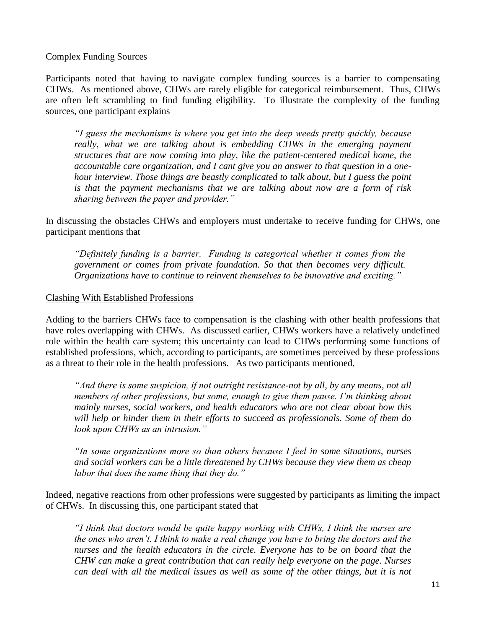#### Complex Funding Sources

Participants noted that having to navigate complex funding sources is a barrier to compensating CHWs. As mentioned above, CHWs are rarely eligible for categorical reimbursement. Thus, CHWs are often left scrambling to find funding eligibility. To illustrate the complexity of the funding sources, one participant explains

*"I guess the mechanisms is where you get into the deep weeds pretty quickly, because*  really, what we are talking about is embedding CHWs in the emerging payment *structures that are now coming into play, like the patient-centered medical home, the accountable care organization, and I cant give you an answer to that question in a onehour interview. Those things are beastly complicated to talk about, but I guess the point is that the payment mechanisms that we are talking about now are a form of risk sharing between the payer and provider."*

In discussing the obstacles CHWs and employers must undertake to receive funding for CHWs, one participant mentions that

*"Definitely funding is a barrier. Funding is categorical whether it comes from the government or comes from private foundation. So that then becomes very difficult. Organizations have to continue to reinvent themselves to be innovative and exciting."*

#### Clashing With Established Professions

Adding to the barriers CHWs face to compensation is the clashing with other health professions that have roles overlapping with CHWs. As discussed earlier, CHWs workers have a relatively undefined role within the health care system; this uncertainty can lead to CHWs performing some functions of established professions, which, according to participants, are sometimes perceived by these professions as a threat to their role in the health professions. As two participants mentioned,

*"And there is some suspicion, if not outright resistance-not by all, by any means, not all members of other professions, but some, enough to give them pause. I'm thinking about mainly nurses, social workers, and health educators who are not clear about how this will help or hinder them in their efforts to succeed as professionals. Some of them do look upon CHWs as an intrusion."*

*"In some organizations more so than others because I feel in some situations, nurses and social workers can be a little threatened by CHWs because they view them as cheap labor that does the same thing that they do."*

Indeed, negative reactions from other professions were suggested by participants as limiting the impact of CHWs. In discussing this, one participant stated that

*"I think that doctors would be quite happy working with CHWs, I think the nurses are the ones who aren't. I think to make a real change you have to bring the doctors and the nurses and the health educators in the circle. Everyone has to be on board that the CHW can make a great contribution that can really help everyone on the page. Nurses can deal with all the medical issues as well as some of the other things, but it is not*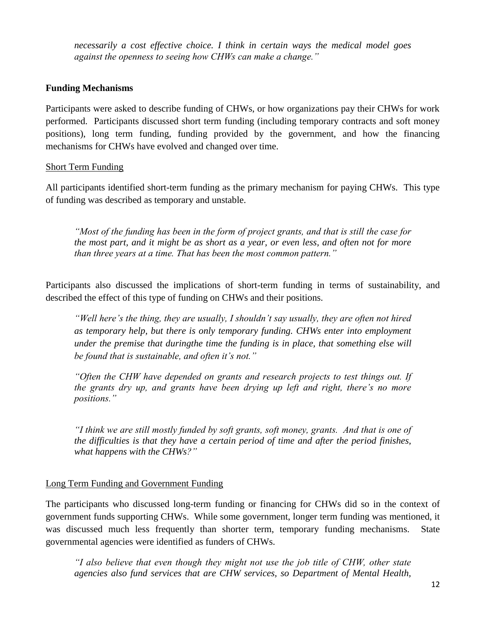*necessarily a cost effective choice. I think in certain ways the medical model goes against the openness to seeing how CHWs can make a change."*

#### **Funding Mechanisms**

Participants were asked to describe funding of CHWs, or how organizations pay their CHWs for work performed. Participants discussed short term funding (including temporary contracts and soft money positions), long term funding, funding provided by the government, and how the financing mechanisms for CHWs have evolved and changed over time.

#### Short Term Funding

All participants identified short-term funding as the primary mechanism for paying CHWs. This type of funding was described as temporary and unstable.

*"Most of the funding has been in the form of project grants, and that is still the case for the most part, and it might be as short as a year, or even less, and often not for more than three years at a time. That has been the most common pattern."*

Participants also discussed the implications of short-term funding in terms of sustainability, and described the effect of this type of funding on CHWs and their positions.

*"Well here's the thing, they are usually, I shouldn't say usually, they are often not hired as temporary help, but there is only temporary funding. CHWs enter into employment under the premise that duringthe time the funding is in place, that something else will be found that is sustainable, and often it's not."*

*"Often the CHW have depended on grants and research projects to test things out. If the grants dry up, and grants have been drying up left and right, there's no more positions."*

*"I think we are still mostly funded by soft grants, soft money, grants. And that is one of the difficulties is that they have a certain period of time and after the period finishes, what happens with the CHWs?"*

#### Long Term Funding and Government Funding

The participants who discussed long-term funding or financing for CHWs did so in the context of government funds supporting CHWs. While some government, longer term funding was mentioned, it was discussed much less frequently than shorter term, temporary funding mechanisms. State governmental agencies were identified as funders of CHWs.

*"I also believe that even though they might not use the job title of CHW, other state agencies also fund services that are CHW services, so Department of Mental Health,*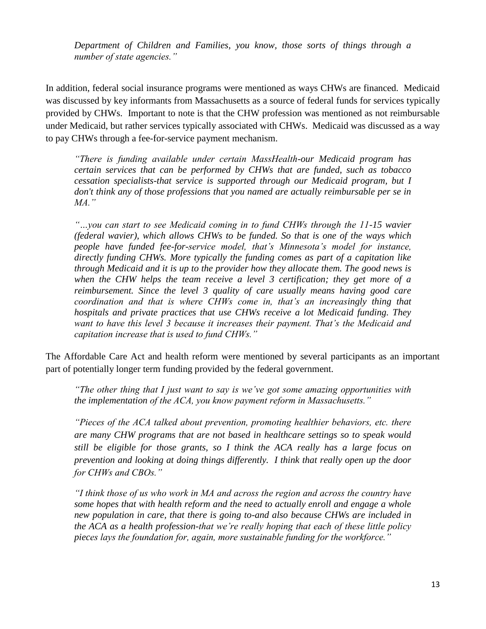*Department of Children and Families, you know, those sorts of things through a number of state agencies."*

In addition, federal social insurance programs were mentioned as ways CHWs are financed. Medicaid was discussed by key informants from Massachusetts as a source of federal funds for services typically provided by CHWs. Important to note is that the CHW profession was mentioned as not reimbursable under Medicaid, but rather services typically associated with CHWs. Medicaid was discussed as a way to pay CHWs through a fee-for-service payment mechanism.

*"There is funding available under certain MassHealth-our Medicaid program has certain services that can be performed by CHWs that are funded, such as tobacco cessation specialists-that service is supported through our Medicaid program, but I don't think any of those professions that you named are actually reimbursable per se in MA."*

*"…you can start to see Medicaid coming in to fund CHWs through the 11-15 wavier (federal wavier), which allows CHWs to be funded. So that is one of the ways which people have funded fee-for-service model, that's Minnesota's model for instance, directly funding CHWs. More typically the funding comes as part of a capitation like through Medicaid and it is up to the provider how they allocate them. The good news is when the CHW helps the team receive a level 3 certification; they get more of a reimbursement. Since the level 3 quality of care usually means having good care coordination and that is where CHWs come in, that's an increasingly thing that hospitals and private practices that use CHWs receive a lot Medicaid funding. They want to have this level 3 because it increases their payment. That's the Medicaid and capitation increase that is used to fund CHWs."*

The Affordable Care Act and health reform were mentioned by several participants as an important part of potentially longer term funding provided by the federal government.

*"The other thing that I just want to say is we've got some amazing opportunities with the implementation of the ACA, you know payment reform in Massachusetts."*

*"Pieces of the ACA talked about prevention, promoting healthier behaviors, etc. there are many CHW programs that are not based in healthcare settings so to speak would still be eligible for those grants, so I think the ACA really has a large focus on prevention and looking at doing things differently. I think that really open up the door for CHWs and CBOs."*

*"I think those of us who work in MA and across the region and across the country have some hopes that with health reform and the need to actually enroll and engage a whole new population in care, that there is going to-and also because CHWs are included in the ACA as a health profession-that we're really hoping that each of these little policy pieces lays the foundation for, again, more sustainable funding for the workforce."*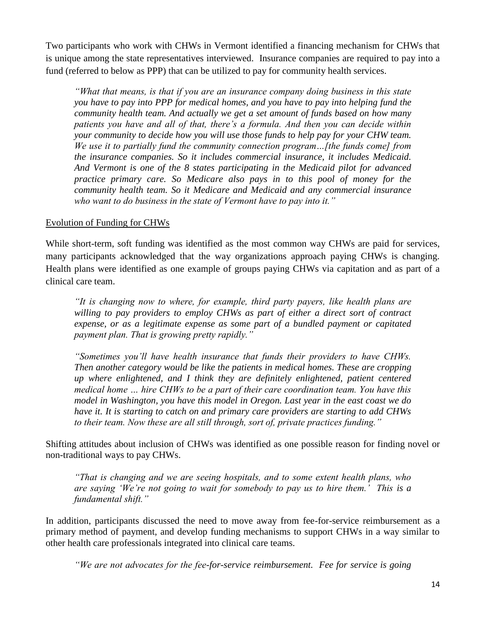Two participants who work with CHWs in Vermont identified a financing mechanism for CHWs that is unique among the state representatives interviewed. Insurance companies are required to pay into a fund (referred to below as PPP) that can be utilized to pay for community health services.

*"What that means, is that if you are an insurance company doing business in this state you have to pay into PPP for medical homes, and you have to pay into helping fund the community health team. And actually we get a set amount of funds based on how many patients you have and all of that, there's a formula. And then you can decide within your community to decide how you will use those funds to help pay for your CHW team. We use it to partially fund the community connection program…[the funds come] from the insurance companies. So it includes commercial insurance, it includes Medicaid. And Vermont is one of the 8 states participating in the Medicaid pilot for advanced practice primary care. So Medicare also pays in to this pool of money for the community health team. So it Medicare and Medicaid and any commercial insurance who want to do business in the state of Vermont have to pay into it."*

# Evolution of Funding for CHWs

While short-term, soft funding was identified as the most common way CHWs are paid for services, many participants acknowledged that the way organizations approach paying CHWs is changing. Health plans were identified as one example of groups paying CHWs via capitation and as part of a clinical care team.

*"It is changing now to where, for example, third party payers, like health plans are*  willing to pay providers to employ CHWs as part of either a direct sort of contract *expense, or as a legitimate expense as some part of a bundled payment or capitated payment plan. That is growing pretty rapidly."* 

*"Sometimes you'll have health insurance that funds their providers to have CHWs. Then another category would be like the patients in medical homes. These are cropping up where enlightened, and I think they are definitely enlightened, patient centered medical home … hire CHWs to be a part of their care coordination team. You have this model in Washington, you have this model in Oregon. Last year in the east coast we do have it. It is starting to catch on and primary care providers are starting to add CHWs to their team. Now these are all still through, sort of, private practices funding."* 

Shifting attitudes about inclusion of CHWs was identified as one possible reason for finding novel or non-traditional ways to pay CHWs.

*"That is changing and we are seeing hospitals, and to some extent health plans, who are saying 'We're not going to wait for somebody to pay us to hire them.' This is a fundamental shift."*

In addition, participants discussed the need to move away from fee-for-service reimbursement as a primary method of payment, and develop funding mechanisms to support CHWs in a way similar to other health care professionals integrated into clinical care teams.

*"We are not advocates for the fee-for-service reimbursement. Fee for service is going*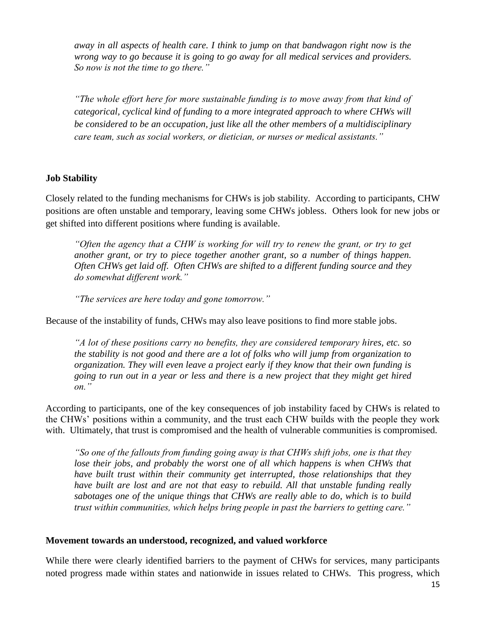*away in all aspects of health care. I think to jump on that bandwagon right now is the wrong way to go because it is going to go away for all medical services and providers. So now is not the time to go there."* 

*"The whole effort here for more sustainable funding is to move away from that kind of categorical, cyclical kind of funding to a more integrated approach to where CHWs will be considered to be an occupation, just like all the other members of a multidisciplinary care team, such as social workers, or dietician, or nurses or medical assistants."*

# **Job Stability**

Closely related to the funding mechanisms for CHWs is job stability. According to participants, CHW positions are often unstable and temporary, leaving some CHWs jobless. Others look for new jobs or get shifted into different positions where funding is available.

*"Often the agency that a CHW is working for will try to renew the grant, or try to get another grant, or try to piece together another grant, so a number of things happen. Often CHWs get laid off. Often CHWs are shifted to a different funding source and they do somewhat different work."* 

*"The services are here today and gone tomorrow."*

Because of the instability of funds, CHWs may also leave positions to find more stable jobs.

*"A lot of these positions carry no benefits, they are considered temporary hires, etc. so the stability is not good and there are a lot of folks who will jump from organization to organization. They will even leave a project early if they know that their own funding is going to run out in a year or less and there is a new project that they might get hired on."*

According to participants, one of the key consequences of job instability faced by CHWs is related to the CHWs' positions within a community, and the trust each CHW builds with the people they work with. Ultimately, that trust is compromised and the health of vulnerable communities is compromised.

*"So one of the fallouts from funding going away is that CHWs shift jobs, one is that they lose their jobs, and probably the worst one of all which happens is when CHWs that have built trust within their community get interrupted, those relationships that they have built are lost and are not that easy to rebuild. All that unstable funding really sabotages one of the unique things that CHWs are really able to do, which is to build trust within communities, which helps bring people in past the barriers to getting care."*

#### **Movement towards an understood, recognized, and valued workforce**

While there were clearly identified barriers to the payment of CHWs for services, many participants noted progress made within states and nationwide in issues related to CHWs. This progress, which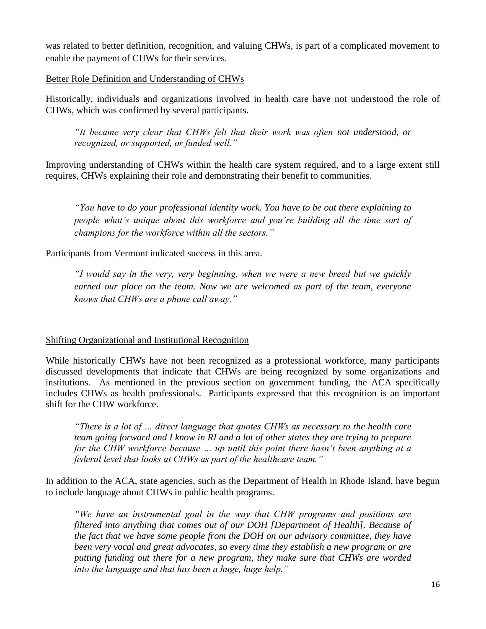was related to better definition, recognition, and valuing CHWs, is part of a complicated movement to enable the payment of CHWs for their services.

# Better Role Definition and Understanding of CHWs

Historically, individuals and organizations involved in health care have not understood the role of CHWs, which was confirmed by several participants.

*"It became very clear that CHWs felt that their work was often not understood, or recognized, or supported, or funded well."*

Improving understanding of CHWs within the health care system required, and to a large extent still requires, CHWs explaining their role and demonstrating their benefit to communities.

*"You have to do your professional identity work. You have to be out there explaining to people what's unique about this workforce and you're building all the time sort of champions for the workforce within all the sectors."*

Participants from Vermont indicated success in this area.

*"I would say in the very, very beginning, when we were a new breed but we quickly earned our place on the team. Now we are welcomed as part of the team, everyone knows that CHWs are a phone call away."*

#### Shifting Organizational and Institutional Recognition

While historically CHWs have not been recognized as a professional workforce, many participants discussed developments that indicate that CHWs are being recognized by some organizations and institutions. As mentioned in the previous section on government funding, the ACA specifically includes CHWs as health professionals. Participants expressed that this recognition is an important shift for the CHW workforce.

*"There is a lot of … direct language that quotes CHWs as necessary to the health care team going forward and I know in RI and a lot of other states they are trying to prepare for the CHW workforce because … up until this point there hasn't been anything at a federal level that looks at CHWs as part of the healthcare team."*

In addition to the ACA, state agencies, such as the Department of Health in Rhode Island, have begun to include language about CHWs in public health programs.

*"We have an instrumental goal in the way that CHW programs and positions are filtered into anything that comes out of our DOH [Department of Health]. Because of the fact that we have some people from the DOH on our advisory committee, they have been very vocal and great advocates, so every time they establish a new program or are putting funding out there for a new program, they make sure that CHWs are worded into the language and that has been a huge, huge help."*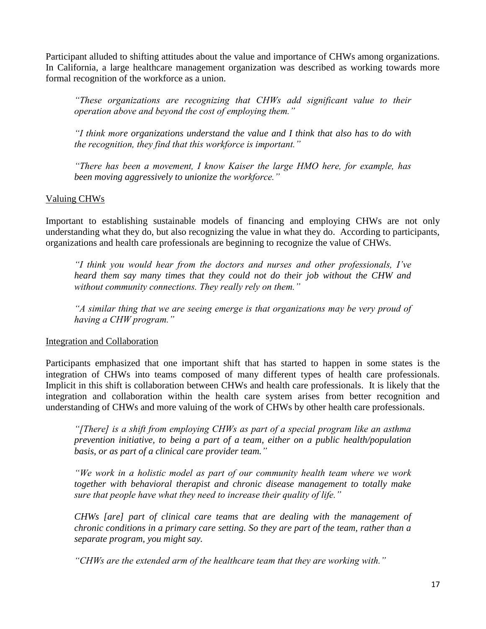Participant alluded to shifting attitudes about the value and importance of CHWs among organizations. In California, a large healthcare management organization was described as working towards more formal recognition of the workforce as a union.

*"These organizations are recognizing that CHWs add significant value to their operation above and beyond the cost of employing them."* 

*"I think more organizations understand the value and I think that also has to do with the recognition, they find that this workforce is important."*

*"There has been a movement, I know Kaiser the large HMO here, for example, has been moving aggressively to unionize the workforce."*

# Valuing CHWs

Important to establishing sustainable models of financing and employing CHWs are not only understanding what they do, but also recognizing the value in what they do. According to participants, organizations and health care professionals are beginning to recognize the value of CHWs.

*"I think you would hear from the doctors and nurses and other professionals, I've heard them say many times that they could not do their job without the CHW and without community connections. They really rely on them."*

*"A similar thing that we are seeing emerge is that organizations may be very proud of having a CHW program."*

#### Integration and Collaboration

Participants emphasized that one important shift that has started to happen in some states is the integration of CHWs into teams composed of many different types of health care professionals. Implicit in this shift is collaboration between CHWs and health care professionals. It is likely that the integration and collaboration within the health care system arises from better recognition and understanding of CHWs and more valuing of the work of CHWs by other health care professionals.

*"[There] is a shift from employing CHWs as part of a special program like an asthma prevention initiative, to being a part of a team, either on a public health/population basis, or as part of a clinical care provider team."* 

*"We work in a holistic model as part of our community health team where we work together with behavioral therapist and chronic disease management to totally make sure that people have what they need to increase their quality of life."*

*CHWs [are] part of clinical care teams that are dealing with the management of chronic conditions in a primary care setting. So they are part of the team, rather than a separate program, you might say.*

*"CHWs are the extended arm of the healthcare team that they are working with."*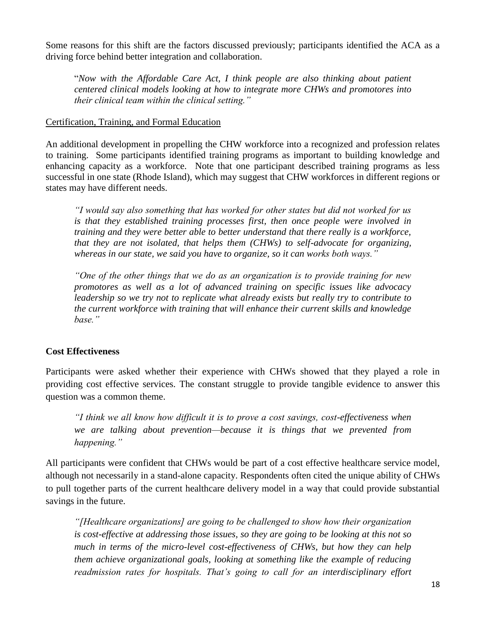Some reasons for this shift are the factors discussed previously; participants identified the ACA as a driving force behind better integration and collaboration.

"*Now with the Affordable Care Act, I think people are also thinking about patient centered clinical models looking at how to integrate more CHWs and promotores into their clinical team within the clinical setting."*

# Certification, Training, and Formal Education

An additional development in propelling the CHW workforce into a recognized and profession relates to training. Some participants identified training programs as important to building knowledge and enhancing capacity as a workforce. Note that one participant described training programs as less successful in one state (Rhode Island), which may suggest that CHW workforces in different regions or states may have different needs.

*"I would say also something that has worked for other states but did not worked for us is that they established training processes first, then once people were involved in training and they were better able to better understand that there really is a workforce, that they are not isolated, that helps them (CHWs) to self-advocate for organizing, whereas in our state, we said you have to organize, so it can works both ways."*

*"One of the other things that we do as an organization is to provide training for new promotores as well as a lot of advanced training on specific issues like advocacy leadership so we try not to replicate what already exists but really try to contribute to the current workforce with training that will enhance their current skills and knowledge base."*

# **Cost Effectiveness**

Participants were asked whether their experience with CHWs showed that they played a role in providing cost effective services. The constant struggle to provide tangible evidence to answer this question was a common theme.

*"I think we all know how difficult it is to prove a cost savings, cost-effectiveness when we are talking about prevention—because it is things that we prevented from happening."*

All participants were confident that CHWs would be part of a cost effective healthcare service model, although not necessarily in a stand-alone capacity. Respondents often cited the unique ability of CHWs to pull together parts of the current healthcare delivery model in a way that could provide substantial savings in the future.

*"[Healthcare organizations] are going to be challenged to show how their organization is cost-effective at addressing those issues, so they are going to be looking at this not so much in terms of the micro-level cost-effectiveness of CHWs, but how they can help them achieve organizational goals, looking at something like the example of reducing readmission rates for hospitals. That's going to call for an interdisciplinary effort*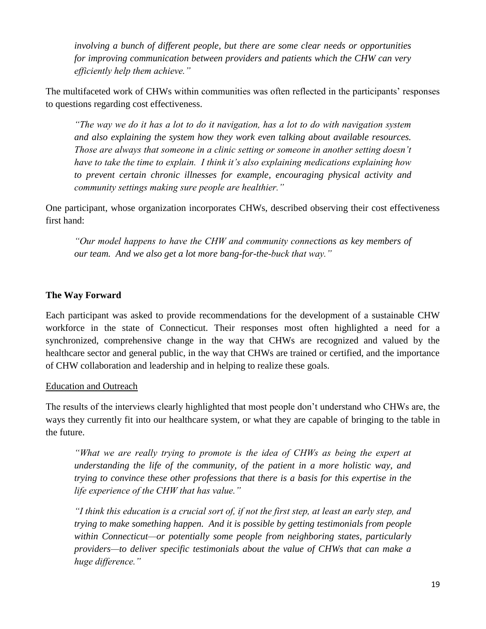*involving a bunch of different people, but there are some clear needs or opportunities for improving communication between providers and patients which the CHW can very efficiently help them achieve."*

The multifaceted work of CHWs within communities was often reflected in the participants' responses to questions regarding cost effectiveness.

*"The way we do it has a lot to do it navigation, has a lot to do with navigation system and also explaining the system how they work even talking about available resources. Those are always that someone in a clinic setting or someone in another setting doesn't have to take the time to explain. I think it's also explaining medications explaining how to prevent certain chronic illnesses for example, encouraging physical activity and community settings making sure people are healthier."*

One participant, whose organization incorporates CHWs, described observing their cost effectiveness first hand:

*"Our model happens to have the CHW and community connections as key members of our team. And we also get a lot more bang-for-the-buck that way."*

# **The Way Forward**

Each participant was asked to provide recommendations for the development of a sustainable CHW workforce in the state of Connecticut. Their responses most often highlighted a need for a synchronized, comprehensive change in the way that CHWs are recognized and valued by the healthcare sector and general public, in the way that CHWs are trained or certified, and the importance of CHW collaboration and leadership and in helping to realize these goals.

# Education and Outreach

The results of the interviews clearly highlighted that most people don't understand who CHWs are, the ways they currently fit into our healthcare system, or what they are capable of bringing to the table in the future.

*"What we are really trying to promote is the idea of CHWs as being the expert at understanding the life of the community, of the patient in a more holistic way, and trying to convince these other professions that there is a basis for this expertise in the life experience of the CHW that has value."*

*"I think this education is a crucial sort of, if not the first step, at least an early step, and trying to make something happen. And it is possible by getting testimonials from people within Connecticut—or potentially some people from neighboring states, particularly providers—to deliver specific testimonials about the value of CHWs that can make a huge difference."*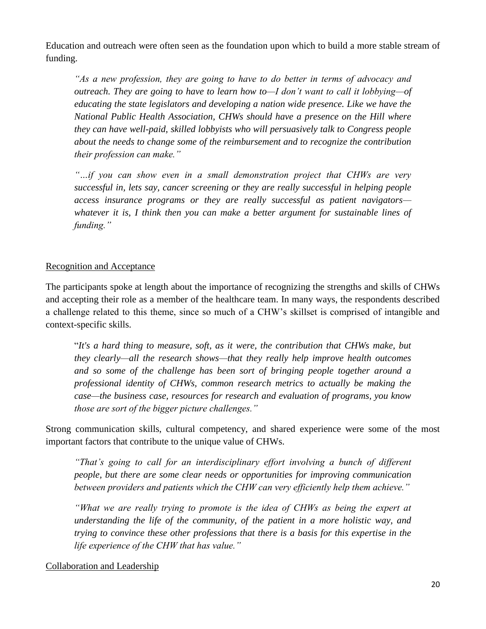Education and outreach were often seen as the foundation upon which to build a more stable stream of funding.

*"As a new profession, they are going to have to do better in terms of advocacy and outreach. They are going to have to learn how to—I don't want to call it lobbying—of educating the state legislators and developing a nation wide presence. Like we have the National Public Health Association, CHWs should have a presence on the Hill where they can have well-paid, skilled lobbyists who will persuasively talk to Congress people about the needs to change some of the reimbursement and to recognize the contribution their profession can make."*

*"…if you can show even in a small demonstration project that CHWs are very successful in, lets say, cancer screening or they are really successful in helping people access insurance programs or they are really successful as patient navigators whatever it is, I think then you can make a better argument for sustainable lines of funding."*

# Recognition and Acceptance

The participants spoke at length about the importance of recognizing the strengths and skills of CHWs and accepting their role as a member of the healthcare team. In many ways, the respondents described a challenge related to this theme, since so much of a CHW's skillset is comprised of intangible and context-specific skills.

"*It's a hard thing to measure, soft, as it were, the contribution that CHWs make, but they clearly—all the research shows—that they really help improve health outcomes and so some of the challenge has been sort of bringing people together around a professional identity of CHWs, common research metrics to actually be making the case—the business case, resources for research and evaluation of programs, you know those are sort of the bigger picture challenges."*

Strong communication skills, cultural competency, and shared experience were some of the most important factors that contribute to the unique value of CHWs.

*"That's going to call for an interdisciplinary effort involving a bunch of different people, but there are some clear needs or opportunities for improving communication between providers and patients which the CHW can very efficiently help them achieve."*

*"What we are really trying to promote is the idea of CHWs as being the expert at understanding the life of the community, of the patient in a more holistic way, and trying to convince these other professions that there is a basis for this expertise in the life experience of the CHW that has value."*

# Collaboration and Leadership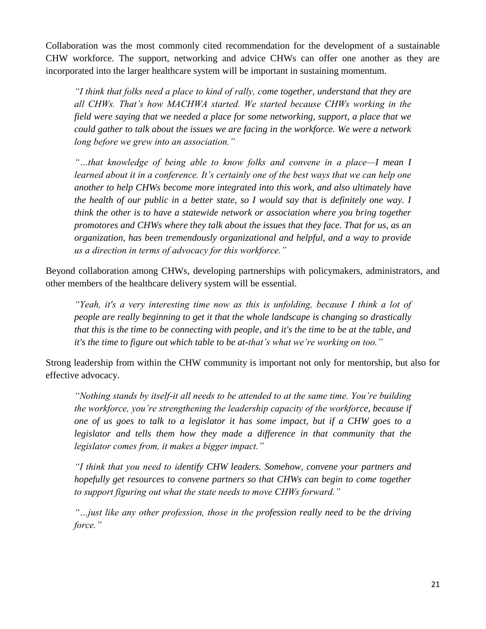Collaboration was the most commonly cited recommendation for the development of a sustainable CHW workforce. The support, networking and advice CHWs can offer one another as they are incorporated into the larger healthcare system will be important in sustaining momentum.

*"I think that folks need a place to kind of rally, come together, understand that they are all CHWs. That's how MACHWA started. We started because CHWs working in the field were saying that we needed a place for some networking, support, a place that we could gather to talk about the issues we are facing in the workforce. We were a network long before we grew into an association."*

*"…that knowledge of being able to know folks and convene in a place—I mean I learned about it in a conference. It's certainly one of the best ways that we can help one another to help CHWs become more integrated into this work, and also ultimately have the health of our public in a better state, so I would say that is definitely one way. I think the other is to have a statewide network or association where you bring together promotores and CHWs where they talk about the issues that they face. That for us, as an organization, has been tremendously organizational and helpful, and a way to provide us a direction in terms of advocacy for this workforce."*

Beyond collaboration among CHWs, developing partnerships with policymakers, administrators, and other members of the healthcare delivery system will be essential.

*"Yeah, it's a very interesting time now as this is unfolding, because I think a lot of people are really beginning to get it that the whole landscape is changing so drastically that this is the time to be connecting with people, and it's the time to be at the table, and it's the time to figure out which table to be at-that's what we're working on too."*

Strong leadership from within the CHW community is important not only for mentorship, but also for effective advocacy.

*"Nothing stands by itself-it all needs to be attended to at the same time. You're building the workforce, you're strengthening the leadership capacity of the workforce, because if one of us goes to talk to a legislator it has some impact, but if a CHW goes to a legislator and tells them how they made a difference in that community that the legislator comes from, it makes a bigger impact."*

*"I think that you need to identify CHW leaders. Somehow, convene your partners and hopefully get resources to convene partners so that CHWs can begin to come together to support figuring out what the state needs to move CHWs forward."*

*"…just like any other profession, those in the profession really need to be the driving force."*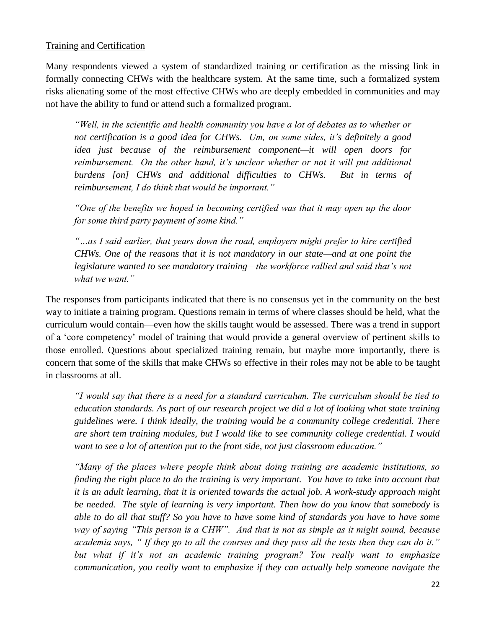## Training and Certification

Many respondents viewed a system of standardized training or certification as the missing link in formally connecting CHWs with the healthcare system. At the same time, such a formalized system risks alienating some of the most effective CHWs who are deeply embedded in communities and may not have the ability to fund or attend such a formalized program.

*"Well, in the scientific and health community you have a lot of debates as to whether or not certification is a good idea for CHWs. Um, on some sides, it's definitely a good idea just because of the reimbursement component—it will open doors for reimbursement. On the other hand, it's unclear whether or not it will put additional burdens [on] CHWs and additional difficulties to CHWs. But in terms of reimbursement, I do think that would be important."*

*"One of the benefits we hoped in becoming certified was that it may open up the door for some third party payment of some kind."*

*"…as I said earlier, that years down the road, employers might prefer to hire certified CHWs. One of the reasons that it is not mandatory in our state—and at one point the legislature wanted to see mandatory training—the workforce rallied and said that's not what we want."*

The responses from participants indicated that there is no consensus yet in the community on the best way to initiate a training program. Questions remain in terms of where classes should be held, what the curriculum would contain—even how the skills taught would be assessed. There was a trend in support of a 'core competency' model of training that would provide a general overview of pertinent skills to those enrolled. Questions about specialized training remain, but maybe more importantly, there is concern that some of the skills that make CHWs so effective in their roles may not be able to be taught in classrooms at all.

*"I would say that there is a need for a standard curriculum. The curriculum should be tied to education standards. As part of our research project we did a lot of looking what state training guidelines were. I think ideally, the training would be a community college credential. There are short tem training modules, but I would like to see community college credential. I would want to see a lot of attention put to the front side, not just classroom education."*

*"Many of the places where people think about doing training are academic institutions, so finding the right place to do the training is very important. You have to take into account that it is an adult learning, that it is oriented towards the actual job. A work-study approach might be needed. The style of learning is very important. Then how do you know that somebody is able to do all that stuff? So you have to have some kind of standards you have to have some way of saying "This person is a CHW". And that is not as simple as it might sound, because academia says, " If they go to all the courses and they pass all the tests then they can do it." but what if it's not an academic training program? You really want to emphasize communication, you really want to emphasize if they can actually help someone navigate the*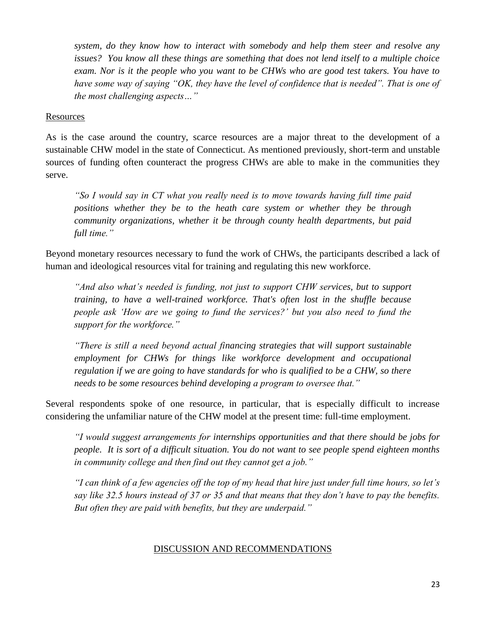*system, do they know how to interact with somebody and help them steer and resolve any issues? You know all these things are something that does not lend itself to a multiple choice exam. Nor is it the people who you want to be CHWs who are good test takers. You have to have some way of saying "OK, they have the level of confidence that is needed". That is one of the most challenging aspects…"*

#### **Resources**

As is the case around the country, scarce resources are a major threat to the development of a sustainable CHW model in the state of Connecticut. As mentioned previously, short-term and unstable sources of funding often counteract the progress CHWs are able to make in the communities they serve.

*"So I would say in CT what you really need is to move towards having full time paid positions whether they be to the heath care system or whether they be through community organizations, whether it be through county health departments, but paid full time."*

Beyond monetary resources necessary to fund the work of CHWs, the participants described a lack of human and ideological resources vital for training and regulating this new workforce.

*"And also what's needed is funding, not just to support CHW services, but to support training, to have a well-trained workforce. That's often lost in the shuffle because people ask 'How are we going to fund the services?' but you also need to fund the support for the workforce."*

*"There is still a need beyond actual financing strategies that will support sustainable employment for CHWs for things like workforce development and occupational regulation if we are going to have standards for who is qualified to be a CHW, so there needs to be some resources behind developing a program to oversee that."*

Several respondents spoke of one resource, in particular, that is especially difficult to increase considering the unfamiliar nature of the CHW model at the present time: full-time employment.

*"I would suggest arrangements for internships opportunities and that there should be jobs for people. It is sort of a difficult situation. You do not want to see people spend eighteen months in community college and then find out they cannot get a job."*

*"I can think of a few agencies off the top of my head that hire just under full time hours, so let's say like 32.5 hours instead of 37 or 35 and that means that they don't have to pay the benefits. But often they are paid with benefits, but they are underpaid."*

#### DISCUSSION AND RECOMMENDATIONS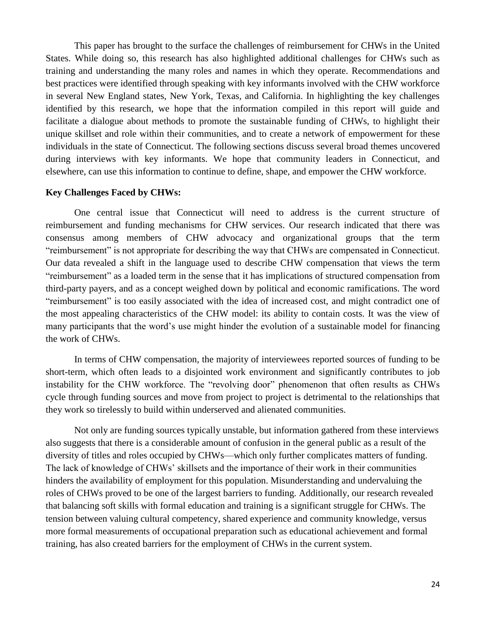This paper has brought to the surface the challenges of reimbursement for CHWs in the United States. While doing so, this research has also highlighted additional challenges for CHWs such as training and understanding the many roles and names in which they operate. Recommendations and best practices were identified through speaking with key informants involved with the CHW workforce in several New England states, New York, Texas, and California. In highlighting the key challenges identified by this research, we hope that the information compiled in this report will guide and facilitate a dialogue about methods to promote the sustainable funding of CHWs, to highlight their unique skillset and role within their communities, and to create a network of empowerment for these individuals in the state of Connecticut. The following sections discuss several broad themes uncovered during interviews with key informants. We hope that community leaders in Connecticut, and elsewhere, can use this information to continue to define, shape, and empower the CHW workforce.

#### **Key Challenges Faced by CHWs:**

One central issue that Connecticut will need to address is the current structure of reimbursement and funding mechanisms for CHW services. Our research indicated that there was consensus among members of CHW advocacy and organizational groups that the term "reimbursement" is not appropriate for describing the way that CHWs are compensated in Connecticut. Our data revealed a shift in the language used to describe CHW compensation that views the term "reimbursement" as a loaded term in the sense that it has implications of structured compensation from third-party payers, and as a concept weighed down by political and economic ramifications. The word "reimbursement" is too easily associated with the idea of increased cost, and might contradict one of the most appealing characteristics of the CHW model: its ability to contain costs. It was the view of many participants that the word's use might hinder the evolution of a sustainable model for financing the work of CHWs.

In terms of CHW compensation, the majority of interviewees reported sources of funding to be short-term, which often leads to a disjointed work environment and significantly contributes to job instability for the CHW workforce. The "revolving door" phenomenon that often results as CHWs cycle through funding sources and move from project to project is detrimental to the relationships that they work so tirelessly to build within underserved and alienated communities.

Not only are funding sources typically unstable, but information gathered from these interviews also suggests that there is a considerable amount of confusion in the general public as a result of the diversity of titles and roles occupied by CHWs—which only further complicates matters of funding. The lack of knowledge of CHWs' skillsets and the importance of their work in their communities hinders the availability of employment for this population. Misunderstanding and undervaluing the roles of CHWs proved to be one of the largest barriers to funding. Additionally, our research revealed that balancing soft skills with formal education and training is a significant struggle for CHWs. The tension between valuing cultural competency, shared experience and community knowledge, versus more formal measurements of occupational preparation such as educational achievement and formal training, has also created barriers for the employment of CHWs in the current system.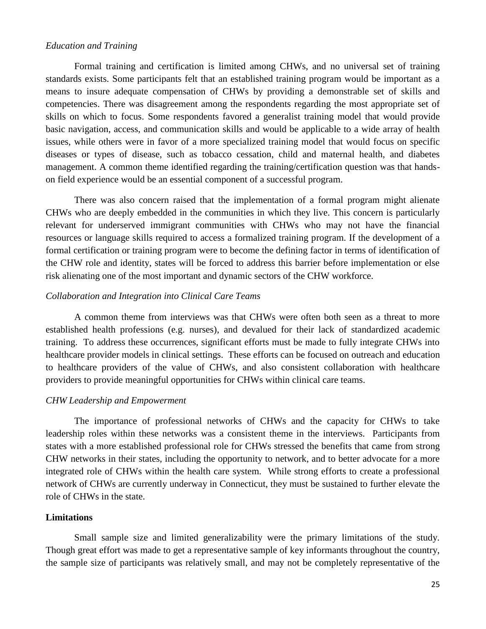#### *Education and Training*

Formal training and certification is limited among CHWs, and no universal set of training standards exists. Some participants felt that an established training program would be important as a means to insure adequate compensation of CHWs by providing a demonstrable set of skills and competencies. There was disagreement among the respondents regarding the most appropriate set of skills on which to focus. Some respondents favored a generalist training model that would provide basic navigation, access, and communication skills and would be applicable to a wide array of health issues, while others were in favor of a more specialized training model that would focus on specific diseases or types of disease, such as tobacco cessation, child and maternal health, and diabetes management. A common theme identified regarding the training/certification question was that handson field experience would be an essential component of a successful program.

There was also concern raised that the implementation of a formal program might alienate CHWs who are deeply embedded in the communities in which they live. This concern is particularly relevant for underserved immigrant communities with CHWs who may not have the financial resources or language skills required to access a formalized training program. If the development of a formal certification or training program were to become the defining factor in terms of identification of the CHW role and identity, states will be forced to address this barrier before implementation or else risk alienating one of the most important and dynamic sectors of the CHW workforce.

#### *Collaboration and Integration into Clinical Care Teams*

A common theme from interviews was that CHWs were often both seen as a threat to more established health professions (e.g. nurses), and devalued for their lack of standardized academic training. To address these occurrences, significant efforts must be made to fully integrate CHWs into healthcare provider models in clinical settings. These efforts can be focused on outreach and education to healthcare providers of the value of CHWs, and also consistent collaboration with healthcare providers to provide meaningful opportunities for CHWs within clinical care teams.

#### *CHW Leadership and Empowerment*

The importance of professional networks of CHWs and the capacity for CHWs to take leadership roles within these networks was a consistent theme in the interviews. Participants from states with a more established professional role for CHWs stressed the benefits that came from strong CHW networks in their states, including the opportunity to network, and to better advocate for a more integrated role of CHWs within the health care system. While strong efforts to create a professional network of CHWs are currently underway in Connecticut, they must be sustained to further elevate the role of CHWs in the state.

#### **Limitations**

Small sample size and limited generalizability were the primary limitations of the study. Though great effort was made to get a representative sample of key informants throughout the country, the sample size of participants was relatively small, and may not be completely representative of the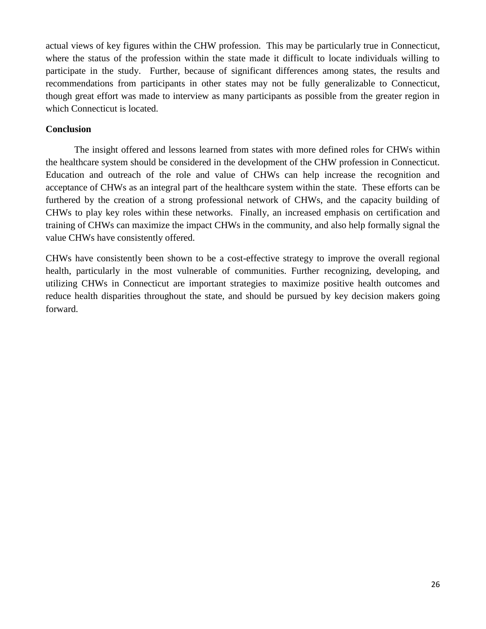actual views of key figures within the CHW profession. This may be particularly true in Connecticut, where the status of the profession within the state made it difficult to locate individuals willing to participate in the study. Further, because of significant differences among states, the results and recommendations from participants in other states may not be fully generalizable to Connecticut, though great effort was made to interview as many participants as possible from the greater region in which Connecticut is located.

# **Conclusion**

The insight offered and lessons learned from states with more defined roles for CHWs within the healthcare system should be considered in the development of the CHW profession in Connecticut. Education and outreach of the role and value of CHWs can help increase the recognition and acceptance of CHWs as an integral part of the healthcare system within the state. These efforts can be furthered by the creation of a strong professional network of CHWs, and the capacity building of CHWs to play key roles within these networks. Finally, an increased emphasis on certification and training of CHWs can maximize the impact CHWs in the community, and also help formally signal the value CHWs have consistently offered.

CHWs have consistently been shown to be a cost-effective strategy to improve the overall regional health, particularly in the most vulnerable of communities. Further recognizing, developing, and utilizing CHWs in Connecticut are important strategies to maximize positive health outcomes and reduce health disparities throughout the state, and should be pursued by key decision makers going forward.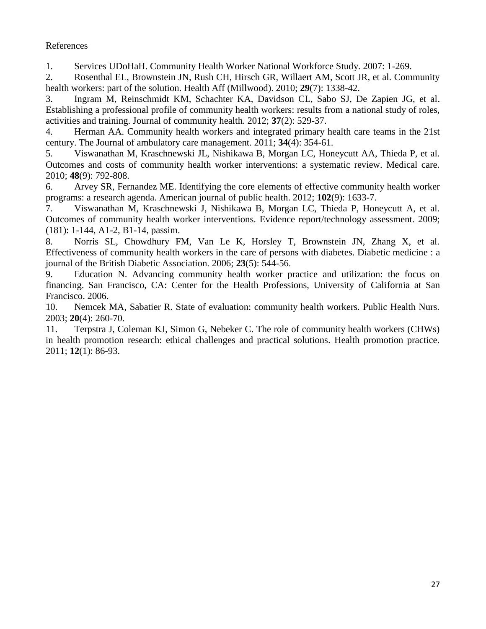# References

<span id="page-26-0"></span>1. Services UDoHaH. Community Health Worker National Workforce Study. 2007: 1-269.

2. Rosenthal EL, Brownstein JN, Rush CH, Hirsch GR, Willaert AM, Scott JR, et al. Community health workers: part of the solution. Health Aff (Millwood). 2010; **29**(7): 1338-42.

3. Ingram M, Reinschmidt KM, Schachter KA, Davidson CL, Sabo SJ, De Zapien JG, et al. Establishing a professional profile of community health workers: results from a national study of roles, activities and training. Journal of community health. 2012; **37**(2): 529-37.

4. Herman AA. Community health workers and integrated primary health care teams in the 21st century. The Journal of ambulatory care management. 2011; **34**(4): 354-61.

5. Viswanathan M, Kraschnewski JL, Nishikawa B, Morgan LC, Honeycutt AA, Thieda P, et al. Outcomes and costs of community health worker interventions: a systematic review. Medical care. 2010; **48**(9): 792-808.

6. Arvey SR, Fernandez ME. Identifying the core elements of effective community health worker programs: a research agenda. American journal of public health. 2012; **102**(9): 1633-7.

7. Viswanathan M, Kraschnewski J, Nishikawa B, Morgan LC, Thieda P, Honeycutt A, et al. Outcomes of community health worker interventions. Evidence report/technology assessment. 2009; (181): 1-144, A1-2, B1-14, passim.

8. Norris SL, Chowdhury FM, Van Le K, Horsley T, Brownstein JN, Zhang X, et al. Effectiveness of community health workers in the care of persons with diabetes. Diabetic medicine : a journal of the British Diabetic Association. 2006; **23**(5): 544-56.

9. Education N. Advancing community health worker practice and utilization: the focus on financing. San Francisco, CA: Center for the Health Professions, University of California at San Francisco. 2006.

10. Nemcek MA, Sabatier R. State of evaluation: community health workers. Public Health Nurs. 2003; **20**(4): 260-70.

11. Terpstra J, Coleman KJ, Simon G, Nebeker C. The role of community health workers (CHWs) in health promotion research: ethical challenges and practical solutions. Health promotion practice. 2011; **12**(1): 86-93.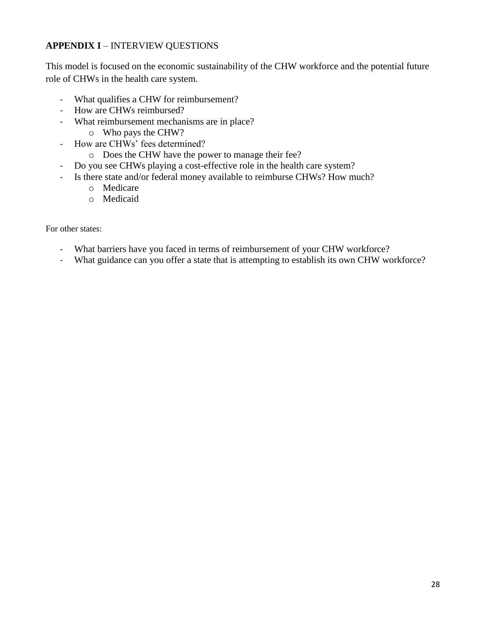# **APPENDIX I** – INTERVIEW QUESTIONS

This model is focused on the economic sustainability of the CHW workforce and the potential future role of CHWs in the health care system.

- What qualifies a CHW for reimbursement?
- How are CHWs reimbursed?
- What reimbursement mechanisms are in place?
	- o Who pays the CHW?
- How are CHWs' fees determined?
	- o Does the CHW have the power to manage their fee?
- Do you see CHWs playing a cost-effective role in the health care system?
- Is there state and/or federal money available to reimburse CHWs? How much?
	- o Medicare
	- o Medicaid

For other states:

- What barriers have you faced in terms of reimbursement of your CHW workforce?
- What guidance can you offer a state that is attempting to establish its own CHW workforce?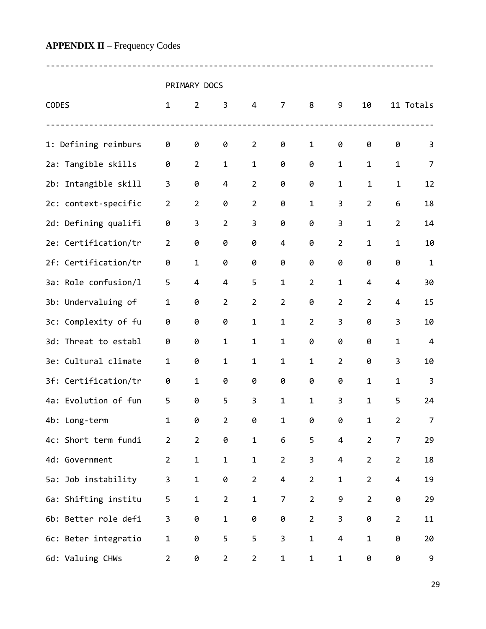# **APPENDIX II** – Frequency Codes

PRIMARY DOCS

---------------------------------------------------------------------------------

| CODES |                      | $\mathbf{1}$       | $\overline{2}$ | 3              | 4              | $\overline{7}$ | 8              | 9              | 10             |                | 11 Totals    |
|-------|----------------------|--------------------|----------------|----------------|----------------|----------------|----------------|----------------|----------------|----------------|--------------|
|       | 1: Defining reimburs | $\frac{1}{2}$<br>0 | 0              | 0              | $\overline{2}$ | 0              | 1              | 0              | 0              | 0              | 3            |
|       | 2a: Tangible skills  | 0                  | $\overline{2}$ | $\mathbf 1$    | $\mathbf{1}$   | 0              | 0              | 1              | 1              | 1              | 7            |
|       | 2b: Intangible skill | 3                  | 0              | 4              | $\overline{2}$ | 0              | 0              | 1              | 1              | 1              | 12           |
|       | 2c: context-specific | $\overline{2}$     | $\overline{2}$ | 0              | $\overline{2}$ | 0              | 1              | 3              | $\overline{2}$ | 6              | 18           |
|       | 2d: Defining qualifi | 0                  | 3              | $\overline{2}$ | 3              | 0              | 0              | 3              | $\mathbf 1$    | $\overline{2}$ | 14           |
|       | 2e: Certification/tr | $\overline{2}$     | 0              | 0              | 0              | 4              | 0              | $\overline{2}$ | 1              | $\mathbf 1$    | 10           |
|       | 2f: Certification/tr | 0                  | 1              | 0              | 0              | 0              | 0              | 0              | 0              | 0              | $\mathbf{1}$ |
|       | 3a: Role confusion/l | 5                  | 4              | 4              | 5              | $\mathbf{1}$   | $\overline{2}$ | $\mathbf{1}$   | 4              | 4              | 30           |
|       | 3b: Undervaluing of  | 1                  | 0              | $\overline{2}$ | $\overline{2}$ | $\overline{2}$ | 0              | $\overline{2}$ | $\overline{2}$ | 4              | 15           |
|       | 3c: Complexity of fu | 0                  | 0              | 0              | 1              | $\mathbf{1}$   | $\overline{2}$ | 3              | 0              | 3              | 10           |
| 3d:   | Threat to establ     | 0                  | 0              | 1              | $\mathbf{1}$   | 1              | 0              | 0              | 0              | $\mathbf 1$    | 4            |
|       | 3e: Cultural climate | $\mathbf 1$        | 0              | $\mathbf 1$    | $\mathbf{1}$   | $\mathbf 1$    | $\mathbf{1}$   | $\overline{2}$ | 0              | 3              | 10           |
|       | 3f: Certification/tr | 0                  | 1              | 0              | 0              | 0              | 0              | 0              | $\mathbf 1$    | 1              | 3            |
|       | 4a: Evolution of fun | 5                  | 0              | 5              | 3              | $\mathbf 1$    | 1              | 3              | 1              | 5              | 24           |
|       | 4b: Long-term        | 1                  | 0              | $\overline{2}$ | 0              | 1              | 0              | 0              | $\mathbf 1$    | $\overline{2}$ | 7            |
|       | 4c: Short term fundi | $\overline{2}$     | $\overline{2}$ | 0              | 1              | 6              | 5              | 4              | $\overline{2}$ | 7              | 29           |
|       | 4d: Government       | $2^{\circ}$        | $\mathbf{1}$   | $\mathbf 1$    | $\mathbf 1$    | $\overline{2}$ | 3              | 4              | $\overline{2}$ | $\overline{2}$ | 18           |
|       | 5a: Job instability  | 3                  | $\mathbf{1}$   | 0              | $\overline{2}$ | 4              | $\overline{2}$ | $\mathbf{1}$   | $\overline{2}$ | 4              | 19           |
|       | 6a: Shifting institu | 5                  | $\mathbf{1}$   | $\overline{2}$ | $\mathbf 1$    | $\overline{7}$ | $\overline{2}$ | 9              | $\overline{2}$ | 0              | 29           |
|       | 6b: Better role defi | 3                  | 0              | $\mathbf{1}$   | 0              | 0              | $\overline{2}$ | 3              | 0              | $\overline{2}$ | 11           |
|       | 6c: Beter integratio | $\mathbf{1}$       | 0              | 5              | 5              | $\overline{3}$ | $\mathbf{1}$   | 4              | $\mathbf 1$    | 0              | 20           |
|       | 6d: Valuing CHWs     | $\overline{2}$     | 0              | $\overline{2}$ | $\overline{2}$ | $\mathbf{1}$   | $\mathbf{1}$   | $\mathbf{1}$   | 0              | 0              | 9            |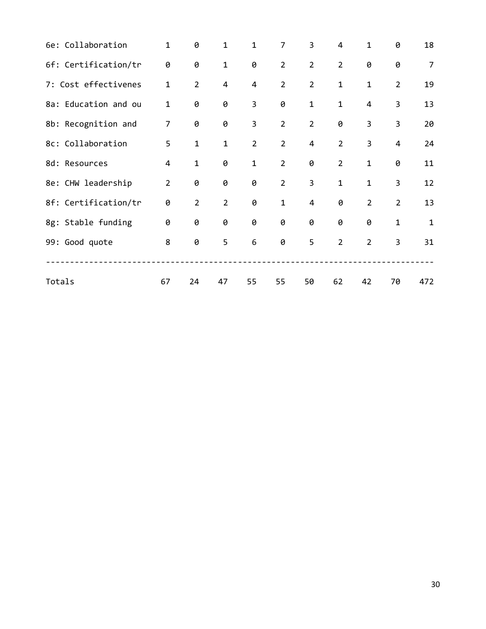| 6e: Collaboration    | $\mathbf 1$    | 0              | 1              | 1              | 7              | 3              | $\overline{4}$ | 1                       | 0                       | 18             |
|----------------------|----------------|----------------|----------------|----------------|----------------|----------------|----------------|-------------------------|-------------------------|----------------|
| 6f: Certification/tr | 0              | 0              | $\mathbf{1}$   | 0              | $\overline{2}$ | $\overline{2}$ | $\overline{2}$ | 0                       | 0                       | $\overline{7}$ |
| 7: Cost effectivenes | $\mathbf{1}$   | $\overline{2}$ | $\overline{4}$ | $\overline{4}$ | $\overline{2}$ | $\overline{2}$ | $\mathbf{1}$   | $\mathbf{1}$            | $\overline{2}$          | 19             |
| 8a: Education and ou | $\mathbf 1$    | 0              | 0              | 3              | 0              | $\mathbf{1}$   | $\mathbf{1}$   | 4                       | 3                       | 13             |
| 8b: Recognition and  | $\overline{7}$ | 0              | 0              | 3              | $\overline{2}$ | $\overline{2}$ | 0              | 3                       | $\overline{\mathbf{3}}$ | 20             |
| 8c: Collaboration    | 5              | $\mathbf{1}$   | $\mathbf 1$    | $\overline{2}$ | $\overline{2}$ | $\overline{4}$ | $\overline{2}$ | $\overline{\mathbf{3}}$ | $\overline{\mathbf{4}}$ | 24             |
| 8d: Resources        | 4              | $\mathbf{1}$   | 0              | $\mathbf{1}$   | $\overline{2}$ | 0              | $\overline{2}$ | $\mathbf{1}$            | 0                       | 11             |
| 8e: CHW leadership   | $\overline{2}$ | 0              | 0              | 0              | $\overline{2}$ | 3              | $\mathbf{1}$   | $\mathbf 1$             | 3                       | 12             |
| 8f: Certification/tr | 0              | $\overline{2}$ | $\overline{2}$ | 0              | $\mathbf{1}$   | 4              | 0              | $\overline{2}$          | $\overline{2}$          | 13             |
| 8g: Stable funding   | 0              | 0              | 0              | 0              | 0              | 0              | 0              | 0                       | $\mathbf{1}$            | $\mathbf{1}$   |
| 99: Good quote       | 8              | 0              | 5              | 6              | 0              | 5              | $\overline{2}$ | $2^{\circ}$             | $\overline{3}$          | 31             |
|                      |                |                |                |                |                |                |                |                         |                         |                |
| Totals               | 67             | 24             | 47             | 55             | 55             | 50             | 62             | 42                      | 70                      | 472            |